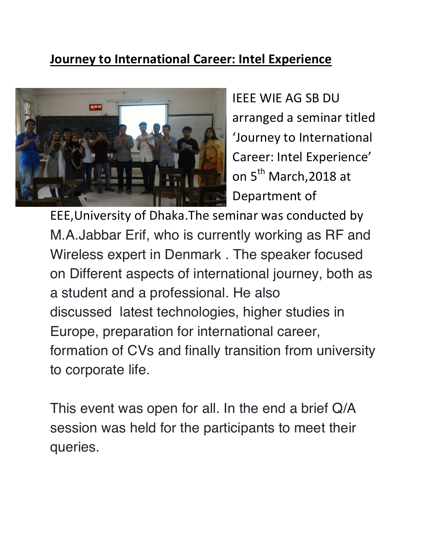## **Journey to International Career: Intel Experience**



**IFFF WIF AG SB DU** arranged a seminar titled 'Journey to International Career: Intel Experience' on 5<sup>th</sup> March, 2018 at Department of

EEE, University of Dhaka. The seminar was conducted by M.A.Jabbar Erif, who is currently working as RF and Wireless expert in Denmark . The speaker focused on Different aspects of international journey, both as a student and a professional. He also discussed latest technologies, higher studies in Europe, preparation for international career, formation of CVs and finally transition from university to corporate life.

This event was open for all. In the end a brief Q/A session was held for the participants to meet their queries.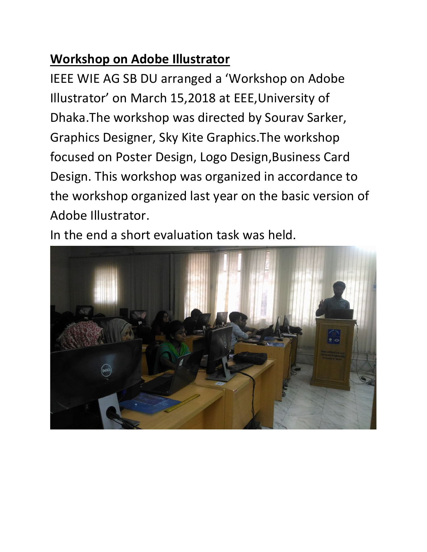## **Workshop on Adobe Illustrator**

IEEE WIE AG SB DU arranged a 'Workshop on Adobe Illustrator' on March 15,2018 at EEE, University of Dhaka.The workshop was directed by Sourav Sarker, Graphics Designer, Sky Kite Graphics. The workshop focused on Poster Design, Logo Design, Business Card Design. This workshop was organized in accordance to the workshop organized last year on the basic version of Adobe Illustrator.

In the end a short evaluation task was held.

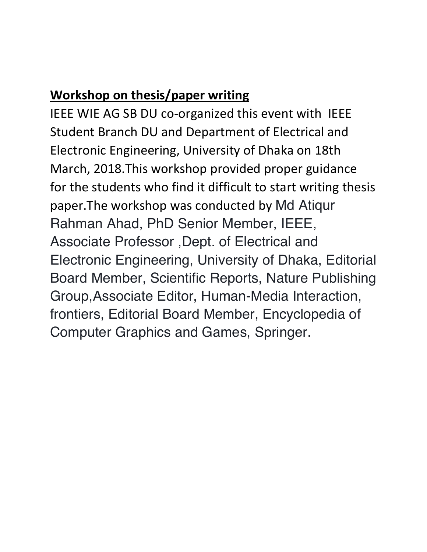## **Workshop on thesis/paper writing**

IEEE WIE AG SB DU co-organized this event with IEEE Student Branch DU and Department of Electrical and Electronic Engineering, University of Dhaka on 18th March, 2018. This workshop provided proper guidance for the students who find it difficult to start writing thesis paper. The workshop was conducted by Md Atiqur Rahman Ahad, PhD Senior Member, IEEE, Associate Professor ,Dept. of Electrical and Electronic Engineering, University of Dhaka, Editorial Board Member, Scientific Reports, Nature Publishing Group,Associate Editor, Human-Media Interaction, frontiers, Editorial Board Member, Encyclopedia of Computer Graphics and Games, Springer.